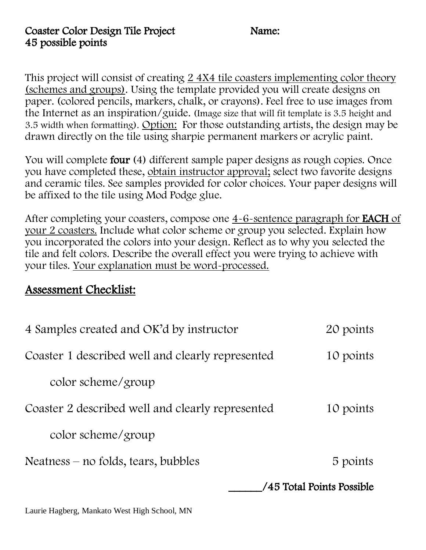This project will consist of creating 2 4X4 tile coasters implementing color theory (schemes and groups). Using the template provided you will create designs on paper. (colored pencils, markers, chalk, or crayons). Feel free to use images from the Internet as an inspiration/guide. (Image size that will fit template is 3.5 height and 3.5 width when formatting). Option: For those outstanding artists, the design may be drawn directly on the tile using sharpie permanent markers or acrylic paint.

You will complete four (4) different sample paper designs as rough copies. Once you have completed these, obtain instructor approval; select two favorite designs and ceramic tiles. See samples provided for color choices. Your paper designs will be affixed to the tile using Mod Podge glue.

After completing your coasters, compose one 4-6-sentence paragraph for EACH of your 2 coasters. Include what color scheme or group you selected. Explain how you incorporated the colors into your design. Reflect as to why you selected the tile and felt colors. Describe the overall effect you were trying to achieve with your tiles. Your explanation must be word-processed.

## Assessment Checklist:

| 4 Samples created and OK'd by instructor         | 20 points |
|--------------------------------------------------|-----------|
| Coaster 1 described well and clearly represented | 10 points |
| color scheme/group                               |           |
| Coaster 2 described well and clearly represented | 10 points |
| color scheme/group                               |           |
| $Neatness - no folds, tears, bubbles$            | 5 points  |
| /45 Total Points Possible                        |           |